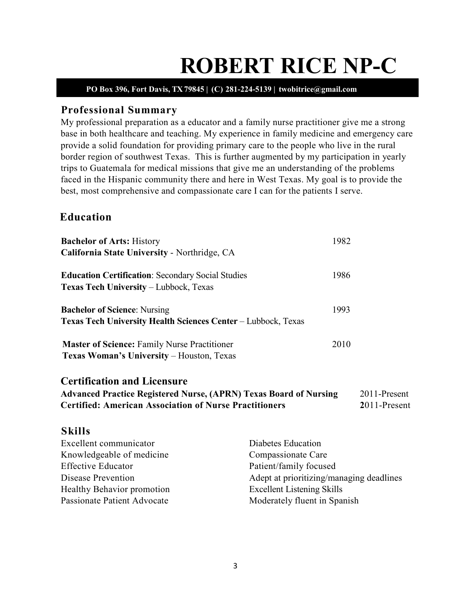# **ROBERT RICE NP-C PO Box 396, Fort Davis, TX 79845 | (C) 281-224-5139 | twobitrice@gmail.com**

# **Professional Summary**

My professional preparation as a educator and a family nurse practitioner give me a strong base in both healthcare and teaching. My experience in family medicine and emergency care provide a solid foundation for providing primary care to the people who live in the rural border region of southwest Texas. This is further augmented by my participation in yearly trips to Guatemala for medical missions that give me an understanding of the problems faced in the Hispanic community there and here in West Texas. My goal is to provide the best, most comprehensive and compassionate care I can for the patients I serve.

# **Education**

| <b>Bachelor of Arts: History</b>                                                                                                                                                | 1982                                     |                              |
|---------------------------------------------------------------------------------------------------------------------------------------------------------------------------------|------------------------------------------|------------------------------|
| California State University - Northridge, CA                                                                                                                                    |                                          |                              |
| <b>Education Certification: Secondary Social Studies</b><br><b>Texas Tech University – Lubbock, Texas</b>                                                                       | 1986                                     |                              |
| <b>Bachelor of Science: Nursing</b><br><b>Texas Tech University Health Sciences Center – Lubbock, Texas</b>                                                                     | 1993                                     |                              |
| <b>Master of Science: Family Nurse Practitioner</b><br>Texas Woman's University - Houston, Texas                                                                                | 2010                                     |                              |
| <b>Certification and Licensure</b><br><b>Advanced Practice Registered Nurse, (APRN) Texas Board of Nursing</b><br><b>Certified: American Association of Nurse Practitioners</b> |                                          | 2011-Present<br>2011-Present |
| <b>Skills</b>                                                                                                                                                                   |                                          |                              |
| Excellent communicator                                                                                                                                                          | Diabetes Education                       |                              |
| Knowledgeable of medicine                                                                                                                                                       | Compassionate Care                       |                              |
| <b>Effective Educator</b>                                                                                                                                                       | Patient/family focused                   |                              |
| Disease Prevention                                                                                                                                                              | Adept at prioritizing/managing deadlines |                              |
| Healthy Behavior promotion                                                                                                                                                      | <b>Excellent Listening Skills</b>        |                              |

3

Passionate Patient Advocate Moderately fluent in Spanish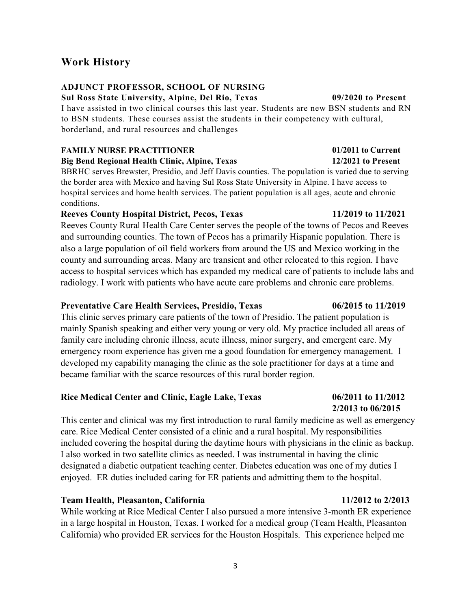# **Work History**

### **ADJUNCT PROFESSOR, SCHOOL OF NURSING**

**Sul Ross State University, Alpine, Del Rio, Texas 09/2020 to Present**

I have assisted in two clinical courses this last year. Students are new BSN students and RN to BSN students. These courses assist the students in their competency with cultural, borderland, and rural resources and challenges

## **FAMILY NURSE PRACTITIONER** 01/2011 to Current

**Big Bend Regional Health Clinic, Alpine, Texas 12/2021 to Present**

BBRHC serves Brewster, Presidio, and Jeff Davis counties. The population is varied due to serving the border area with Mexico and having Sul Ross State University in Alpine. I have access to hospital services and home health services. The patient population is all ages, acute and chronic conditions.

### **Reeves County Hospital District, Pecos, Texas 11/2019 to 11/2021**

Reeves County Rural Health Care Center serves the people of the towns of Pecos and Reeves and surrounding counties. The town of Pecos has a primarily Hispanic population. There is also a large population of oil field workers from around the US and Mexico working in the county and surrounding areas. Many are transient and other relocated to this region. I have access to hospital services which has expanded my medical care of patients to include labs and radiology. I work with patients who have acute care problems and chronic care problems.

### **Preventative Care Health Services, Presidio, Texas 06/2015 to 11/2019**

This clinic serves primary care patients of the town of Presidio. The patient population is mainly Spanish speaking and either very young or very old. My practice included all areas of family care including chronic illness, acute illness, minor surgery, and emergent care. My emergency room experience has given me a good foundation for emergency management. I developed my capability managing the clinic as the sole practitioner for days at a time and became familiar with the scarce resources of this rural border region.

### **Rice Medical Center and Clinic, Eagle Lake, Texas 06/2011 to 11/2012**

This center and clinical was my first introduction to rural family medicine as well as emergency care. Rice Medical Center consisted of a clinic and a rural hospital. My responsibilities included covering the hospital during the daytime hours with physicians in the clinic as backup. I also worked in two satellite clinics as needed. I was instrumental in having the clinic designated a diabetic outpatient teaching center. Diabetes education was one of my duties I enjoyed. ER duties included caring for ER patients and admitting them to the hospital.

### **Team Health, Pleasanton, California 11/2012 to 2/2013**

While working at Rice Medical Center I also pursued a more intensive 3-month ER experience in a large hospital in Houston, Texas. I worked for a medical group (Team Health, Pleasanton California) who provided ER services for the Houston Hospitals. This experience helped me

**2/2013 to 06/2015**